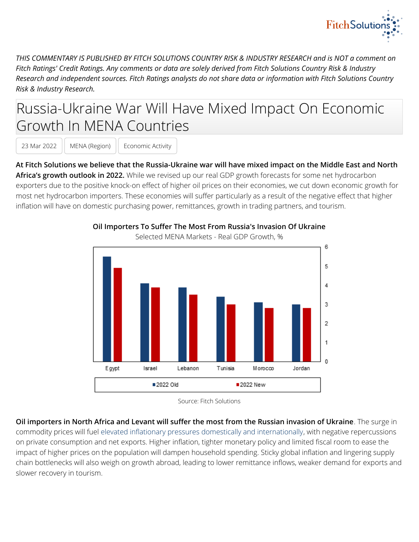

*THIS COMMENTARY IS PUBLISHED BY FITCH SOLUTIONS COUNTRY RISK & INDUSTRY RESEARCH and is NOT a comment on Fitch Ratings' Credit Ratings. Any comments or data are solely derived from Fitch Solutions Country Risk & Industry Research and independent sources. Fitch Ratings analysts do not share data or information with Fitch Solutions Country Risk & Industry Research.*

## Russia-Ukraine War Will Have Mixed Impact On Economic Growth In MENA Countries

23 Mar 2022 | MENA (Region) | Economic Activity

**At Fitch Solutions we believe that the Russia-Ukraine war will have mixed impact on the Middle East and North Africa's growth outlook in 2022.** While we revised up our real GDP growth forecasts for some net hydrocarbon exporters due to the positive knock-on effect of higher oil prices on their economies, we cut down economic growth for most net hydrocarbon importers. These economies will suffer particularly as a result of the negative effect that higher inflation will have on domestic purchasing power, remittances, growth in trading partners, and tourism.



## **Oil Importers To Suffer The Most From Russia's Invasion Of Ukraine**

Selected MENA Markets - Real GDP Growth, %

**Oil importers in North Africa and Levant will suffer the most from the Russian invasion of Ukraine**. The surge in commodity prices will fuel [elevated inflationary pressures domestically and internationally](https://app.fitchconnect.com/article/BMI_BAE4D994-5E16-4584-8506-C302EC7F2C10?t=true), with negative repercussions on private consumption and net exports. Higher inflation, tighter monetary policy and limited fiscal room to ease the impact of higher prices on the population will dampen household spending. Sticky global inflation and lingering supply chain bottlenecks will also weigh on growth abroad, leading to lower remittance inflows, weaker demand for exports and slower recovery in tourism.

Source: Fitch Solutions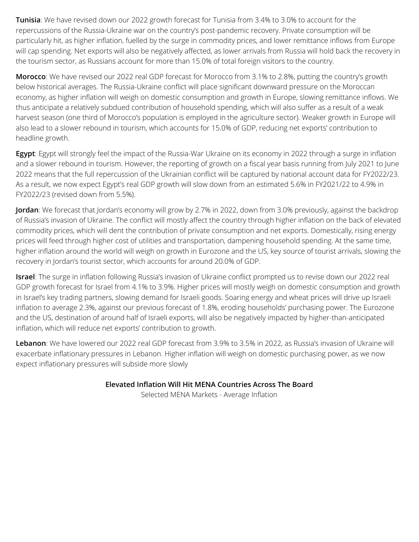**Tunisia**: We have revised down our 2022 growth forecast for Tunisia from 3.4% to 3.0% to account for the repercussions of the Russia-Ukraine war on the country's post-pandemic recovery. Private consumption will be particularly hit, as higher inflation, fuelled by the surge in commodity prices, and lower remittance inflows from Europe will cap spending. Net exports will also be negatively affected, as lower arrivals from Russia will hold back the recovery in the tourism sector, as Russians account for more than 15.0% of total foreign visitors to the country.

**Morocco**: We have revised our 2022 real GDP forecast for Morocco from 3.1% to 2.8%, putting the country's growth below historical averages. The Russia-Ukraine conflict will place significant downward pressure on the Moroccan economy, as higher inflation will weigh on domestic consumption and growth in Europe, slowing remittance inflows. We thus anticipate a relatively subdued contribution of household spending, which will also suffer as a result of a weak harvest season (one third of Morocco's population is employed in the agriculture sector). Weaker growth in Europe will also lead to a slower rebound in tourism, which accounts for 15.0% of GDP, reducing net exports' contribution to headline growth.

**Egypt**: Egypt will strongly feel the impact of the Russia-War Ukraine on its economy in 2022 through a surge in inflation and a slower rebound in tourism. However, the reporting of growth on a fiscal year basis running from July 2021 to June 2022 means that the full repercussion of the Ukrainian conflict will be captured by national account data for FY2022/23. As a result, we now expect Egypt's real GDP growth will slow down from an estimated 5.6% in FY2021/22 to 4.9% in FY2022/23 (revised down from 5.5%).

**Jordan**: We forecast that Jordan's economy will grow by 2.7% in 2022, down from 3.0% previously, against the backdrop of Russia's invasion of Ukraine. The conflict will mostly affect the country through higher inflation on the back of elevated commodity prices, which will dent the contribution of private consumption and net exports. Domestically, rising energy prices will feed through higher cost of utilities and transportation, dampening household spending. At the same time, higher inflation around the world will weigh on growth in Eurozone and the US, key source of tourist arrivals, slowing the recovery in Jordan's tourist sector, which accounts for around 20.0% of GDP.

**Israel**: The surge in inflation following Russia's invasion of Ukraine conflict prompted us to revise down our 2022 real GDP growth forecast for Israel from 4.1% to 3.9%. Higher prices will mostly weigh on domestic consumption and growth in Israel's key trading partners, slowing demand for Israeli goods. Soaring energy and wheat prices will drive up Israeli inflation to average 2.3%, against our previous forecast of 1.8%, eroding households' purchasing power. The Eurozone and the US, destination of around half of Israeli exports, will also be negatively impacted by higher-than-anticipated inflation, which will reduce net exports' contribution to growth.

**Lebanon**: We have lowered our 2022 real GDP forecast from 3.9% to 3.5% in 2022, as Russia's invasion of Ukraine will exacerbate inflationary pressures in Lebanon. Higher inflation will weigh on domestic purchasing power, as we now expect inflationary pressures will subside more slowly

## **Elevated Inflation Will Hit MENA Countries Across The Board**

Selected MENA Markets - Average Inflation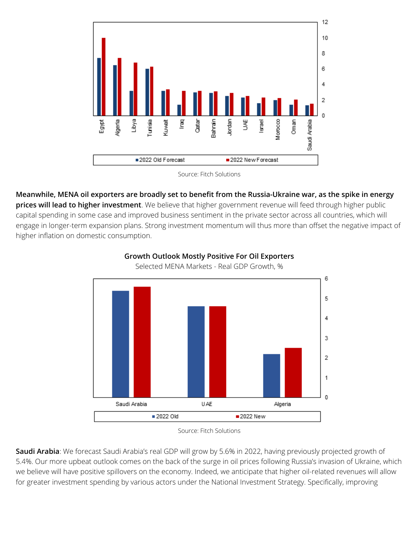

Source: Fitch Solutions

**Meanwhile, MENA oil exporters are broadly set to benefit from the Russia-Ukraine war, as the spike in energy prices will lead to higher investment**. We believe that higher government revenue will feed through higher public capital spending in some case and improved business sentiment in the private sector across all countries, which will engage in longer-term expansion plans. Strong investment momentum will thus more than offset the negative impact of higher inflation on domestic consumption.



**Growth Outlook Mostly Positive For Oil Exporters** Selected MENA Markets - Real GDP Growth, %

**Saudi Arabia**: We forecast Saudi Arabia's real GDP will grow by 5.6% in 2022, having previously projected growth of 5.4%. Our more upbeat outlook comes on the back of the surge in oil prices following Russia's invasion of Ukraine, which we believe will have positive spillovers on the economy. Indeed, we anticipate that higher oil-related revenues will allow for greater investment spending by various actors under the National Investment Strategy. Specifically, improving

Source: Fitch Solutions